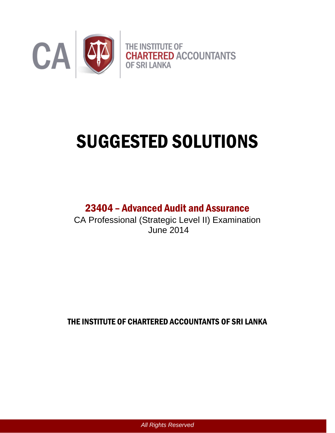

# SUGGESTED SOLUTIONS

# 23404 – Advanced Audit and Assurance

CA Professional (Strategic Level II) Examination June 2014

THE INSTITUTE OF CHARTERED ACCOUNTANTS OF SRI LANKA

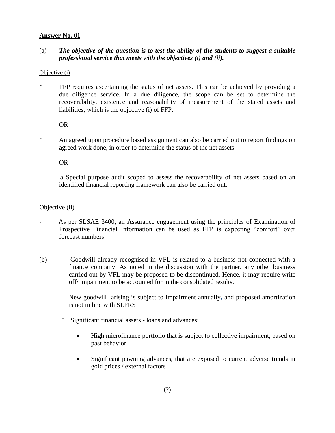### (a) *The objective of the question is to test the ability of the students to suggest a suitable professional service that meets with the objectives (i) and (ii).*

#### Objective (i)

FFP requires ascertaining the status of net assets. This can be achieved by providing a due diligence service. In a due diligence, the scope can be set to determine the recoverability, existence and reasonability of measurement of the stated assets and liabilities, which is the objective (i) of FFP.

OR

An agreed upon procedure based assignment can also be carried out to report findings on agreed work done, in order to determine the status of the net assets.

OR

⁻ a Special purpose audit scoped to assess the recoverability of net assets based on an identified financial reporting framework can also be carried out.

#### Objective (ii)

- As per SLSAE 3400, an Assurance engagement using the principles of Examination of Prospective Financial Information can be used as FFP is expecting "comfort" over forecast numbers
- (b) Goodwill already recognised in VFL is related to a business not connected with a finance company. As noted in the discussion with the partner, any other business carried out by VFL may be proposed to be discontinued. Hence, it may require write off/ impairment to be accounted for in the consolidated results.
	- ⁻ New goodwill arising is subject to impairment annually**,** and proposed amortization is not in line with SLFRS
	- Significant financial assets loans and advances:
		- High microfinance portfolio that is subject to collective impairment, based on past behavior
		- Significant pawning advances, that are exposed to current adverse trends in gold prices / external factors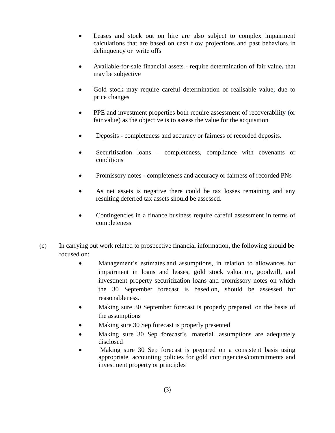- Leases and stock out on hire are also subject to complex impairment calculations that are based on cash flow projections and past behaviors in delinquency or write offs
- Available-for-sale financial assets require determination of fair value**,** that may be subjective
- Gold stock may require careful determination of realisable value**,** due to price changes
- PPE and investment properties both require assessment of recoverability **(**or fair value) as the objective is to assess the value for the acquisition
- Deposits completeness and accuracy or fairness of recorded deposits.
- Securitisation loans completeness, compliance with covenants or conditions
- Promissory notes completeness and accuracy or fairness of recorded PNs
- As net assets is negative there could be tax losses remaining and any resulting deferred tax assets should be assessed.
- Contingencies in a finance business require careful assessment in terms of completeness
- (c) In carrying out work related to prospective financial information, the following should be focused on:
	- Management's estimates and assumptions, in relation to allowances for impairment in loans and leases, gold stock valuation, goodwill, and investment property securitization loans and promissory notes on which the 30 September forecast is based on, should be assessed for reasonableness.
	- Making sure 30 September forecast is properly prepared on the basis of the assumptions
	- Making sure 30 Sep forecast is properly presented
	- Making sure 30 Sep forecast's material assumptions are adequately disclosed
	- Making sure 30 Sep forecast is prepared on a consistent basis using appropriate accounting policies for gold contingencies/commitments and investment property or principles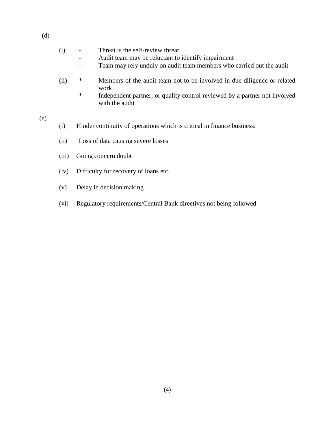- (i) Threat is the self-review threat
	- Audit team may be reluctant to identify impairment
	- Team may rely unduly on audit team members who carried out the audit
- (ii) \* Members of the audit team not to be involved in due diligence or related work
	- \* Independent partner, or quality control reviewed by a partner not involved with the audit
- (e)
- (i) Hinder continuity of operations which is critical in finance business.
- (ii) Loss of data causing severe losses
- (iii) Going concern doubt
- (iv) Difficulty for recovery of loans etc.
- (v) Delay in decision making
- (vi) Regulatory requirements/Central Bank directives not being followed

(d)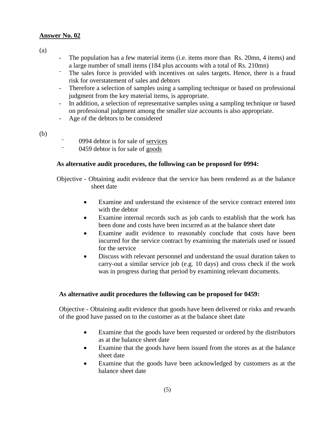(a)

- The population has a few material items (i.e. items more than Rs. 20mn, 4 items) and a large number of small items (184 plus accounts with a total of Rs. 210mn)
- ⁻ The sales force is provided with incentives on sales targets**.** Hence, there is a fraud risk for overstatement of sales and debtors
- Therefore a selection of samples using a sampling technique or based on professional judgment from the key material items, is appropriate.
- In addition, a selection of representative samples using a sampling technique or based on professional judgment among the smaller size accounts is also appropriate.
- Age of the debtors to be considered
- (b)
- $\frac{1}{2}$  0994 debtor is for sale of <u>services</u>
- ⁻ 0459 debtor is for sale of goods

#### **As alternative audit procedures, the following can be proposed for 0994:**

Objective - Obtaining audit evidence that the service has been rendered as at the balance sheet date

- Examine and understand the existence of the service contract entered into with the debtor
- Examine internal records such as job cards to establish that the work has been done and costs have been incurred as at the balance sheet date
- Examine audit evidence to reasonably conclude that costs have been incurred for the service contract by examining the materials used or issued for the service
- Discuss with relevant personnel and understand the usual duration taken to carry-out a similar service job (e.g. 10 days) and cross check if the work was in progress during that period by examining relevant documents.

#### **As alternative audit procedures the following can be proposed for 0459:**

Objective - Obtaining audit evidence that goods have been delivered or risks and rewards of the good have passed on to the customer as at the balance sheet date

- Examine that the goods have been requested or ordered by the distributors as at the balance sheet date
- Examine that the goods have been issued from the stores as at the balance sheet date
- Examine that the goods have been acknowledged by customers as at the balance sheet date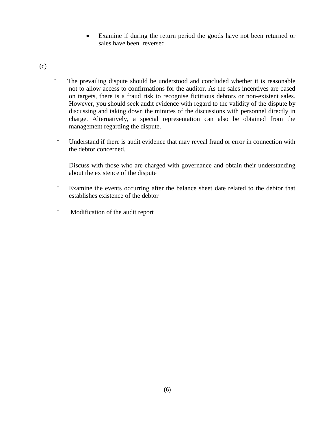Examine if during the return period the goods have not been returned or sales have been reversed

(c)

- ⁻ The prevailing dispute should be understood and concluded whether it is reasonable not to allow access to confirmations for the auditor. As the sales incentives are based on targets, there is a fraud risk to recognise fictitious debtors or non-existent sales. However, you should seek audit evidence with regard to the validity of the dispute by discussing and taking down the minutes of the discussions with personnel directly in charge. Alternatively, a special representation can also be obtained from the management regarding the dispute.
- ⁻ Understand if there is audit evidence that may reveal fraud or error in connection with the debtor concerned.
- ⁻ Discuss with those who are charged with governance and obtain their understanding about the existence of the dispute
- ⁻ Examine the events occurring after the balance sheet date related to the debtor that establishes existence of the debtor
- Modification of the audit report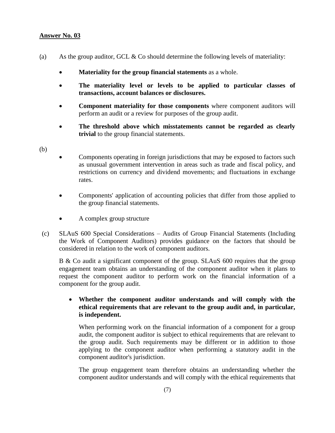- (a) As the group auditor, GCL  $\&$  Co should determine the following levels of materiality:
	- **Materiality for the group financial statements** as a whole.
	- **The materiality level or levels to be applied to particular classes of transactions, account balances or disclosures.**
	- **Component materiality for those components** where component auditors will perform an audit or a review for purposes of the group audit.
	- **The threshold above which misstatements cannot be regarded as clearly trivial** to the group financial statements.
- (b)
- Components operating in foreign jurisdictions that may be exposed to factors such as unusual government intervention in areas such as trade and fiscal policy, and restrictions on currency and dividend movements; and fluctuations in exchange rates.
- Components' application of accounting policies that differ from those applied to the group financial statements.
- A complex group structure
- (c) SLAuS 600 Special Considerations Audits of Group Financial Statements (Including the Work of Component Auditors) provides guidance on the factors that should be considered in relation to the work of component auditors.

B & Co audit a significant component of the group. SLAuS 600 requires that the group engagement team obtains an understanding of the component auditor when it plans to request the component auditor to perform work on the financial information of a component for the group audit.

#### **Whether the component auditor understands and will comply with the ethical requirements that are relevant to the group audit and, in particular, is independent.**

When performing work on the financial information of a component for a group audit, the component auditor is subject to ethical requirements that are relevant to the group audit. Such requirements may be different or in addition to those applying to the component auditor when performing a statutory audit in the component auditor's jurisdiction.

The group engagement team therefore obtains an understanding whether the component auditor understands and will comply with the ethical requirements that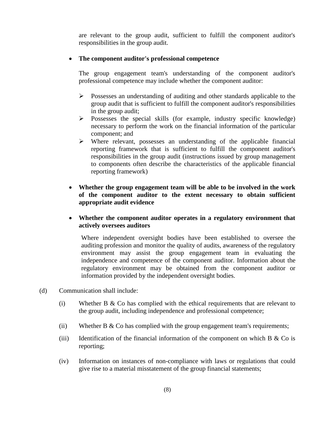are relevant to the group audit, sufficient to fulfill the component auditor's responsibilities in the group audit.

#### **The component auditor's professional competence**

The group engagement team's understanding of the component auditor's professional competence may include whether the component auditor:

- Possesses an understanding of auditing and other standards applicable to the group audit that is sufficient to fulfill the component auditor's responsibilities in the group audit;
- $\triangleright$  Possesses the special skills (for example, industry specific knowledge) necessary to perform the work on the financial information of the particular component; and
- $\triangleright$  Where relevant, possesses an understanding of the applicable financial reporting framework that is sufficient to fulfill the component auditor's responsibilities in the group audit (instructions issued by group management to components often describe the characteristics of the applicable financial reporting framework)
- **Whether the group engagement team will be able to be involved in the work of the component auditor to the extent necessary to obtain sufficient appropriate audit evidence**
- **Whether the component auditor operates in a regulatory environment that actively oversees auditors**

Where independent oversight bodies have been established to oversee the auditing profession and monitor the quality of audits, awareness of the regulatory environment may assist the group engagement team in evaluating the independence and competence of the component auditor. Information about the regulatory environment may be obtained from the component auditor or information provided by the independent oversight bodies.

- (d) Communication shall include:
	- (i) Whether B & Co has complied with the ethical requirements that are relevant to the group audit, including independence and professional competence;
	- (ii) Whether B  $&$  Co has complied with the group engagement team's requirements;
	- (iii) Identification of the financial information of the component on which  $B \& Co$  is reporting;
	- (iv) Information on instances of non-compliance with laws or regulations that could give rise to a material misstatement of the group financial statements;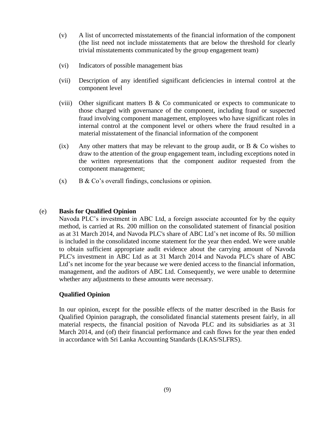- (v) A list of uncorrected misstatements of the financial information of the component (the list need not include misstatements that are below the threshold for clearly trivial misstatements communicated by the group engagement team)
- (vi) Indicators of possible management bias
- (vii) Description of any identified significant deficiencies in internal control at the component level
- (viii) Other significant matters  $\bf{B} \& \bf{C}$  communicated or expects to communicate to those charged with governance of the component, including fraud or suspected fraud involving component management, employees who have significant roles in internal control at the component level or others where the fraud resulted in a material misstatement of the financial information of the component
- (ix) Any other matters that may be relevant to the group audit, or  $B \&\text{Co}$  wishes to draw to the attention of the group engagement team, including exceptions noted in the written representations that the component auditor requested from the component management;
- $(x)$  B & Co's overall findings, conclusions or opinion.

#### (e) **Basis for Qualified Opinion**

Navoda PLC's investment in ABC Ltd, a foreign associate accounted for by the equity method, is carried at Rs. 200 million on the consolidated statement of financial position as at 31 March 2014, and Navoda PLC's share of ABC Ltd's net income of Rs. 50 million is included in the consolidated income statement for the year then ended. We were unable to obtain sufficient appropriate audit evidence about the carrying amount of Navoda PLC's investment in ABC Ltd as at 31 March 2014 and Navoda PLC's share of ABC Ltd's net income for the year because we were denied access to the financial information, management, and the auditors of ABC Ltd. Consequently, we were unable to determine whether any adjustments to these amounts were necessary.

#### **Qualified Opinion**

In our opinion, except for the possible effects of the matter described in the Basis for Qualified Opinion paragraph, the consolidated financial statements present fairly, in all material respects, the financial position of Navoda PLC and its subsidiaries as at 31 March 2014, and (of) their financial performance and cash flows for the year then ended in accordance with Sri Lanka Accounting Standards (LKAS/SLFRS).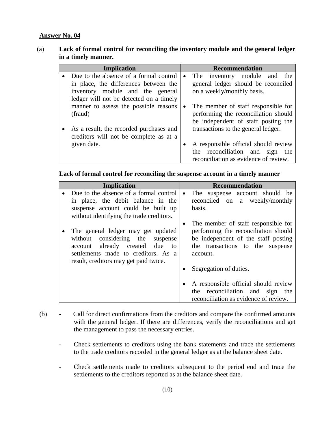## (a) **Lack of formal control for reconciling the inventory module and the general ledger in a timely manner.**

| <b>Implication</b>                      |           | <b>Recommendation</b>                 |
|-----------------------------------------|-----------|---------------------------------------|
| Due to the absence of a formal control  | $\bullet$ | The inventory module and<br>the       |
| in place, the differences between the   |           | general ledger should be reconciled   |
| inventory module and the general        |           | on a weekly/monthly basis.            |
| ledger will not be detected on a timely |           |                                       |
| manner to assess the possible reasons   | $\bullet$ | The member of staff responsible for   |
| (fraud)                                 |           | performing the reconciliation should  |
|                                         |           | be independent of staff posting the   |
| As a result, the recorded purchases and |           | transactions to the general ledger.   |
| creditors will not be complete as at a  |           |                                       |
| given date.                             | $\bullet$ | A responsible official should review  |
|                                         |           | the reconciliation and sign<br>the    |
|                                         |           | reconciliation as evidence of review. |

#### **Lack of formal control for reconciling the suspense account in a timely manner**

| <b>Implication</b> |                                                                                                                                                                                                         | <b>Recommendation</b>                                                                                                                                                                                     |  |
|--------------------|---------------------------------------------------------------------------------------------------------------------------------------------------------------------------------------------------------|-----------------------------------------------------------------------------------------------------------------------------------------------------------------------------------------------------------|--|
|                    | Due to the absence of a formal control<br>in place, the debit balance in the<br>suspense account could be built up<br>without identifying the trade creditors.                                          | The suspense account should be<br>$\bullet$<br>reconciled on a weekly/monthly<br>basis.                                                                                                                   |  |
|                    | The general ledger may get updated<br>considering the<br>without<br>suspense<br>already created<br>due<br>account<br>to<br>settlements made to creditors. As a<br>result, creditors may get paid twice. | The member of staff responsible for<br>$\bullet$<br>performing the reconciliation should<br>be independent of the staff posting<br>the transactions to the suspense<br>account.<br>Segregation of duties. |  |
|                    |                                                                                                                                                                                                         | A responsible official should review<br>$\bullet$<br>the reconciliation and sign the<br>reconciliation as evidence of review.                                                                             |  |

#### (b) - Call for direct confirmations from the creditors and compare the confirmed amounts with the general ledger. If there are differences, verify the reconciliations and get the management to pass the necessary entries.

- Check settlements to creditors using the bank statements and trace the settlements to the trade creditors recorded in the general ledger as at the balance sheet date.
- Check settlements made to creditors subsequent to the period end and trace the settlements to the creditors reported as at the balance sheet date.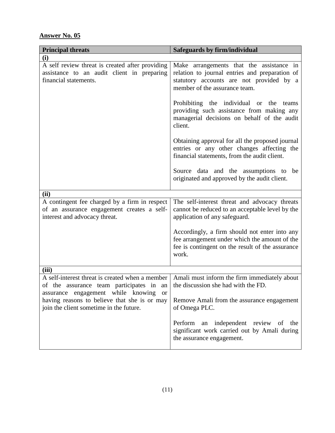| <b>Principal threats</b>                                                                                                                                                                                                                  | Safeguards by firm/individual                                                                                                                                           |  |  |  |
|-------------------------------------------------------------------------------------------------------------------------------------------------------------------------------------------------------------------------------------------|-------------------------------------------------------------------------------------------------------------------------------------------------------------------------|--|--|--|
| (i)                                                                                                                                                                                                                                       |                                                                                                                                                                         |  |  |  |
| A self review threat is created after providing<br>assistance to an audit client in preparing<br>financial statements.                                                                                                                    | Make arrangements that the assistance in<br>relation to journal entries and preparation of<br>statutory accounts are not provided by a<br>member of the assurance team. |  |  |  |
|                                                                                                                                                                                                                                           | Prohibiting the individual or the teams<br>providing such assistance from making any<br>managerial decisions on behalf of the audit<br>client.                          |  |  |  |
|                                                                                                                                                                                                                                           | Obtaining approval for all the proposed journal<br>entries or any other changes affecting the<br>financial statements, from the audit client.                           |  |  |  |
|                                                                                                                                                                                                                                           | Source data and the assumptions to be<br>originated and approved by the audit client.                                                                                   |  |  |  |
| (ii)                                                                                                                                                                                                                                      |                                                                                                                                                                         |  |  |  |
| A contingent fee charged by a firm in respect<br>of an assurance engagement creates a self-<br>interest and advocacy threat.                                                                                                              | The self-interest threat and advocacy threats<br>cannot be reduced to an acceptable level by the<br>application of any safeguard.                                       |  |  |  |
|                                                                                                                                                                                                                                           | Accordingly, a firm should not enter into any<br>fee arrangement under which the amount of the<br>fee is contingent on the result of the assurance<br>work.             |  |  |  |
| (iii)                                                                                                                                                                                                                                     |                                                                                                                                                                         |  |  |  |
| A self-interest threat is created when a member<br>of the assurance team participates in an<br>assurance engagement while knowing<br><b>or</b><br>having reasons to believe that she is or may<br>join the client sometime in the future. | Amali must inform the firm immediately about<br>the discussion she had with the FD.<br>Remove Amali from the assurance engagement<br>of Omega PLC.                      |  |  |  |
|                                                                                                                                                                                                                                           | Perform an independent review of the<br>significant work carried out by Amali during<br>the assurance engagement.                                                       |  |  |  |